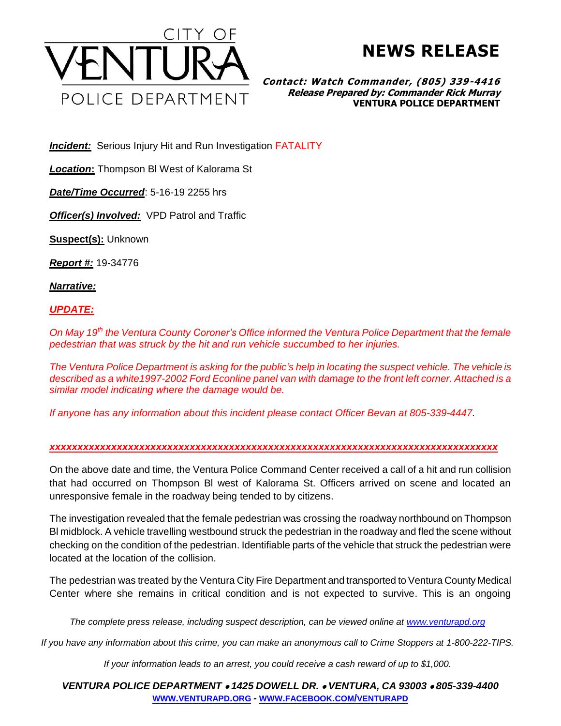

## **NEWS RELEASE**

**Contact: Watch Commander, (805) 339-4416 Release Prepared by: Commander Rick Murray VENTURA POLICE DEPARTMENT**

**Incident:** Serious Injury Hit and Run Investigation **FATALITY** 

*Location***:** Thompson Bl West of Kalorama St

*Date/Time Occurred*: 5-16-19 2255 hrs

*Officer(s) Involved:* VPD Patrol and Traffic

**Suspect(s):** Unknown

*Report #:* 19-34776

*Narrative:* 

## *UPDATE:*

*On May 19th the Ventura County Coroner's Office informed the Ventura Police Department that the female pedestrian that was struck by the hit and run vehicle succumbed to her injuries.*

*The Ventura Police Department is asking for the public's help in locating the suspect vehicle. The vehicle is described as a white1997-2002 Ford Econline panel van with damage to the front left corner. Attached is a similar model indicating where the damage would be.*

*If anyone has any information about this incident please contact Officer Bevan at 805-339-4447.*

## *xxxxxxxxxxxxxxxxxxxxxxxxxxxxxxxxxxxxxxxxxxxxxxxxxxxxxxxxxxxxxxxxxxxxxxxxxxxxxxxx*

On the above date and time, the Ventura Police Command Center received a call of a hit and run collision that had occurred on Thompson Bl west of Kalorama St. Officers arrived on scene and located an unresponsive female in the roadway being tended to by citizens.

The investigation revealed that the female pedestrian was crossing the roadway northbound on Thompson Bl midblock. A vehicle travelling westbound struck the pedestrian in the roadway and fled the scene without checking on the condition of the pedestrian. Identifiable parts of the vehicle that struck the pedestrian were located at the location of the collision.

The pedestrian was treated by the Ventura City Fire Department and transported to Ventura County Medical Center where she remains in critical condition and is not expected to survive. This is an ongoing

*The complete press release, including suspect description, can be viewed online at [www.venturapd.org](http://www.venturapd.org/)*

*If you have any information about this crime, you can make an anonymous call to Crime Stoppers at 1-800-222-TIPS.*

*If your information leads to an arrest, you could receive a cash reward of up to \$1,000.*

*VENTURA POLICE DEPARTMENT 1425 DOWELL DR. VENTURA, CA 93003 805-339-4400* **WWW.[VENTURAPD](http://www.venturapd.org/).ORG** *-* **WWW.FACEBOOK.COM/[VENTURAPD](http://www.facebook.com/venturapd)**